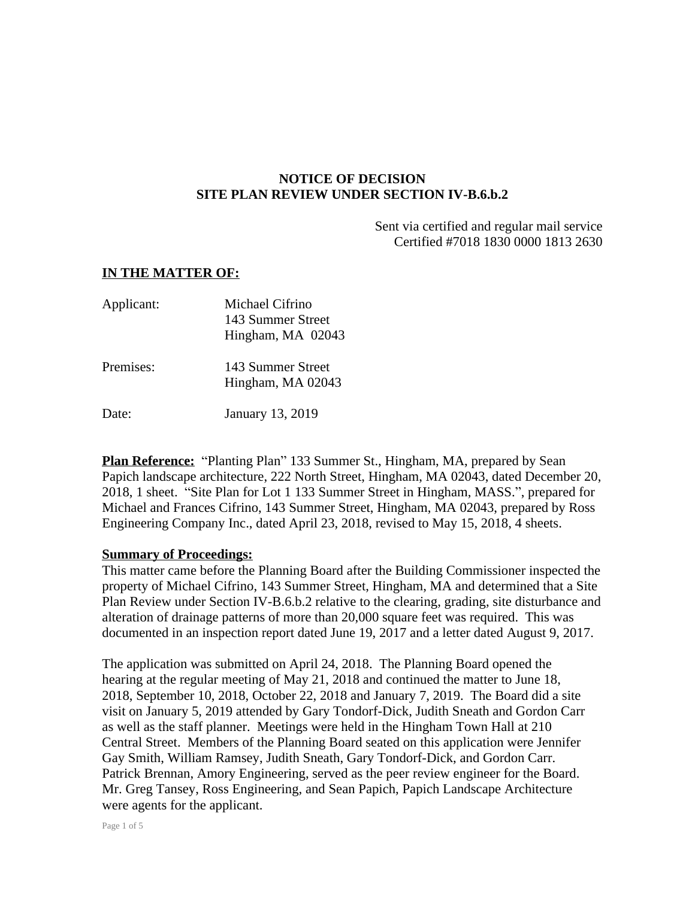## **NOTICE OF DECISION SITE PLAN REVIEW UNDER SECTION IV-B.6.b.2**

Sent via certified and regular mail service Certified #7018 1830 0000 1813 2630

## **IN THE MATTER OF:**

| Applicant: | Michael Cifrino<br>143 Summer Street<br>Hingham, MA 02043 |
|------------|-----------------------------------------------------------|
| Premises:  | 143 Summer Street<br>Hingham, MA 02043                    |
| Date:      | <b>January 13, 2019</b>                                   |

**Plan Reference:** "Planting Plan" 133 Summer St., Hingham, MA, prepared by Sean Papich landscape architecture, 222 North Street, Hingham, MA 02043, dated December 20, 2018, 1 sheet. "Site Plan for Lot 1 133 Summer Street in Hingham, MASS.", prepared for Michael and Frances Cifrino, 143 Summer Street, Hingham, MA 02043, prepared by Ross Engineering Company Inc., dated April 23, 2018, revised to May 15, 2018, 4 sheets.

## **Summary of Proceedings:**

This matter came before the Planning Board after the Building Commissioner inspected the property of Michael Cifrino, 143 Summer Street, Hingham, MA and determined that a Site Plan Review under Section IV-B.6.b.2 relative to the clearing, grading, site disturbance and alteration of drainage patterns of more than 20,000 square feet was required. This was documented in an inspection report dated June 19, 2017 and a letter dated August 9, 2017.

The application was submitted on April 24, 2018. The Planning Board opened the hearing at the regular meeting of May 21, 2018 and continued the matter to June 18, 2018, September 10, 2018, October 22, 2018 and January 7, 2019. The Board did a site visit on January 5, 2019 attended by Gary Tondorf-Dick, Judith Sneath and Gordon Carr as well as the staff planner. Meetings were held in the Hingham Town Hall at 210 Central Street. Members of the Planning Board seated on this application were Jennifer Gay Smith, William Ramsey, Judith Sneath, Gary Tondorf-Dick, and Gordon Carr. Patrick Brennan, Amory Engineering, served as the peer review engineer for the Board. Mr. Greg Tansey, Ross Engineering, and Sean Papich, Papich Landscape Architecture were agents for the applicant.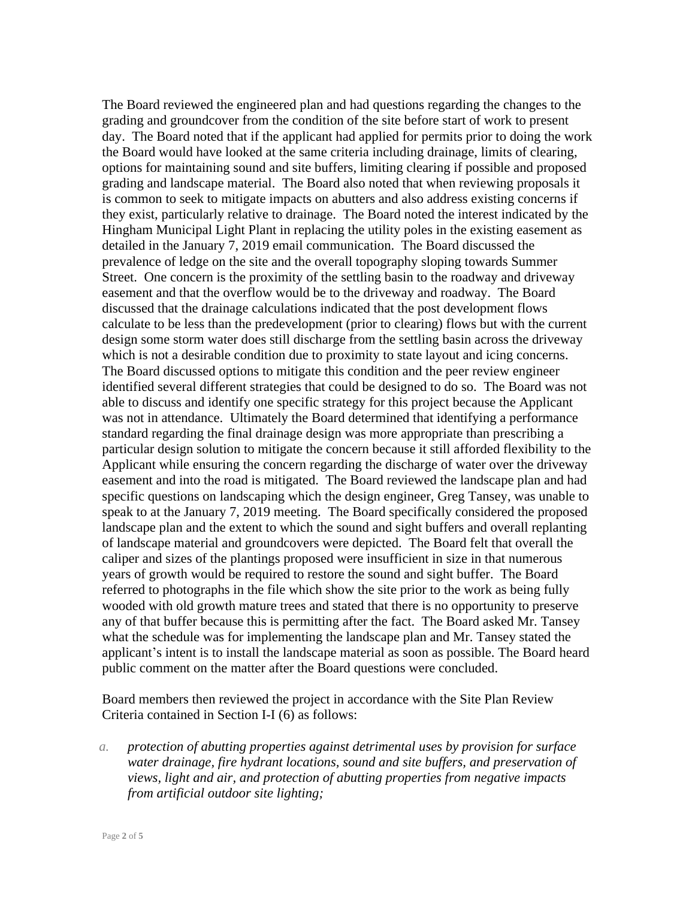The Board reviewed the engineered plan and had questions regarding the changes to the grading and groundcover from the condition of the site before start of work to present day. The Board noted that if the applicant had applied for permits prior to doing the work the Board would have looked at the same criteria including drainage, limits of clearing, options for maintaining sound and site buffers, limiting clearing if possible and proposed grading and landscape material. The Board also noted that when reviewing proposals it is common to seek to mitigate impacts on abutters and also address existing concerns if they exist, particularly relative to drainage. The Board noted the interest indicated by the Hingham Municipal Light Plant in replacing the utility poles in the existing easement as detailed in the January 7, 2019 email communication. The Board discussed the prevalence of ledge on the site and the overall topography sloping towards Summer Street. One concern is the proximity of the settling basin to the roadway and driveway easement and that the overflow would be to the driveway and roadway. The Board discussed that the drainage calculations indicated that the post development flows calculate to be less than the predevelopment (prior to clearing) flows but with the current design some storm water does still discharge from the settling basin across the driveway which is not a desirable condition due to proximity to state layout and icing concerns. The Board discussed options to mitigate this condition and the peer review engineer identified several different strategies that could be designed to do so. The Board was not able to discuss and identify one specific strategy for this project because the Applicant was not in attendance. Ultimately the Board determined that identifying a performance standard regarding the final drainage design was more appropriate than prescribing a particular design solution to mitigate the concern because it still afforded flexibility to the Applicant while ensuring the concern regarding the discharge of water over the driveway easement and into the road is mitigated. The Board reviewed the landscape plan and had specific questions on landscaping which the design engineer, Greg Tansey, was unable to speak to at the January 7, 2019 meeting. The Board specifically considered the proposed landscape plan and the extent to which the sound and sight buffers and overall replanting of landscape material and groundcovers were depicted. The Board felt that overall the caliper and sizes of the plantings proposed were insufficient in size in that numerous years of growth would be required to restore the sound and sight buffer. The Board referred to photographs in the file which show the site prior to the work as being fully wooded with old growth mature trees and stated that there is no opportunity to preserve any of that buffer because this is permitting after the fact. The Board asked Mr. Tansey what the schedule was for implementing the landscape plan and Mr. Tansey stated the applicant's intent is to install the landscape material as soon as possible. The Board heard public comment on the matter after the Board questions were concluded.

Board members then reviewed the project in accordance with the Site Plan Review Criteria contained in Section I-I (6) as follows:

*a. protection of abutting properties against detrimental uses by provision for surface water drainage, fire hydrant locations, sound and site buffers, and preservation of views, light and air, and protection of abutting properties from negative impacts from artificial outdoor site lighting;*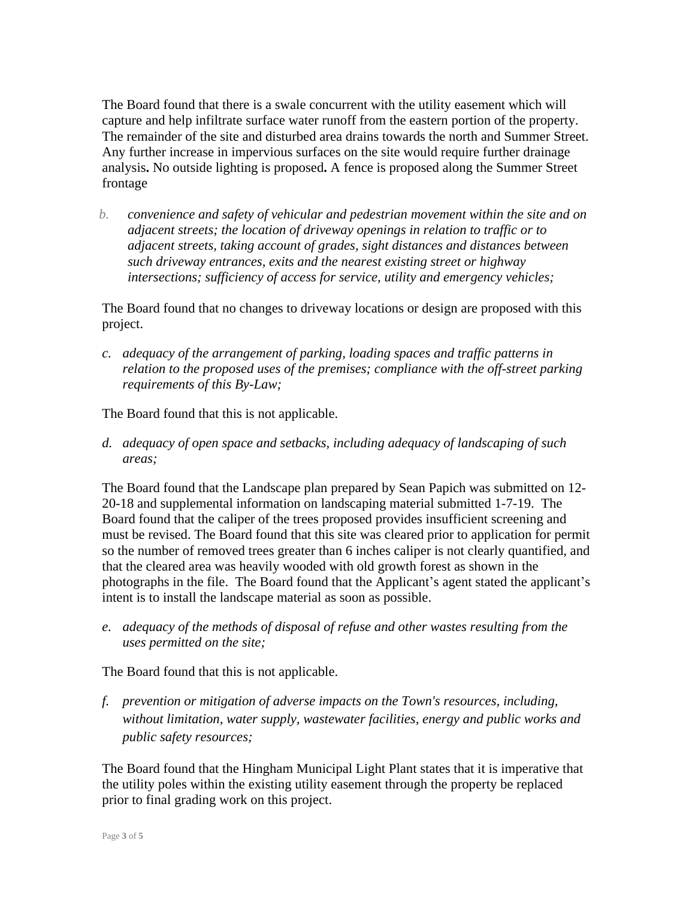The Board found that there is a swale concurrent with the utility easement which will capture and help infiltrate surface water runoff from the eastern portion of the property. The remainder of the site and disturbed area drains towards the north and Summer Street. Any further increase in impervious surfaces on the site would require further drainage analysis**.** No outside lighting is proposed**.** A fence is proposed along the Summer Street frontage

*b. convenience and safety of vehicular and pedestrian movement within the site and on adjacent streets; the location of driveway openings in relation to traffic or to adjacent streets, taking account of grades, sight distances and distances between such driveway entrances, exits and the nearest existing street or highway intersections; sufficiency of access for service, utility and emergency vehicles;*

The Board found that no changes to driveway locations or design are proposed with this project.

*c. adequacy of the arrangement of parking, loading spaces and traffic patterns in relation to the proposed uses of the premises; compliance with the off-street parking requirements of this By-Law;*

The Board found that this is not applicable.

*d. adequacy of open space and setbacks, including adequacy of landscaping of such areas;*

The Board found that the Landscape plan prepared by Sean Papich was submitted on 12- 20-18 and supplemental information on landscaping material submitted 1-7-19.The Board found that the caliper of the trees proposed provides insufficient screening and must be revised. The Board found that this site was cleared prior to application for permit so the number of removed trees greater than 6 inches caliper is not clearly quantified, and that the cleared area was heavily wooded with old growth forest as shown in the photographs in the file. The Board found that the Applicant's agent stated the applicant's intent is to install the landscape material as soon as possible.

*e. adequacy of the methods of disposal of refuse and other wastes resulting from the uses permitted on the site;*

The Board found that this is not applicable.

*f. prevention or mitigation of adverse impacts on the Town's resources, including, without limitation, water supply, wastewater facilities, energy and public works and public safety resources;*

The Board found that the Hingham Municipal Light Plant states that it is imperative that the utility poles within the existing utility easement through the property be replaced prior to final grading work on this project.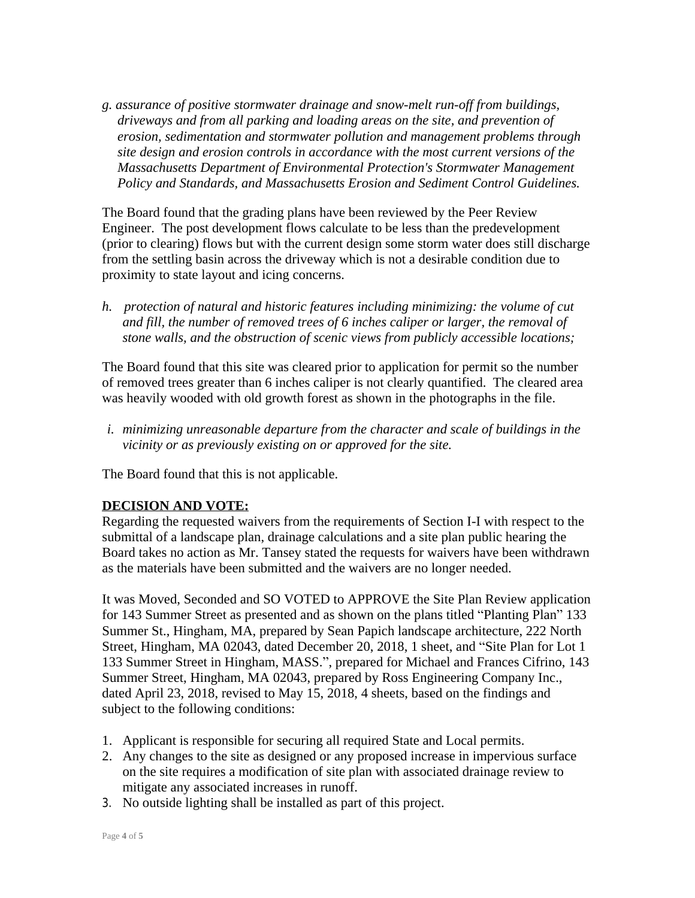*g. assurance of positive stormwater drainage and snow-melt run-off from buildings, driveways and from all parking and loading areas on the site, and prevention of erosion, sedimentation and stormwater pollution and management problems through site design and erosion controls in accordance with the most current versions of the Massachusetts Department of Environmental Protection's Stormwater Management Policy and Standards, and Massachusetts Erosion and Sediment Control Guidelines.*

The Board found that the grading plans have been reviewed by the Peer Review Engineer. The post development flows calculate to be less than the predevelopment (prior to clearing) flows but with the current design some storm water does still discharge from the settling basin across the driveway which is not a desirable condition due to proximity to state layout and icing concerns.

*h. protection of natural and historic features including minimizing: the volume of cut and fill, the number of removed trees of 6 inches caliper or larger, the removal of stone walls, and the obstruction of scenic views from publicly accessible locations;*

The Board found that this site was cleared prior to application for permit so the number of removed trees greater than 6 inches caliper is not clearly quantified. The cleared area was heavily wooded with old growth forest as shown in the photographs in the file.

*i. minimizing unreasonable departure from the character and scale of buildings in the vicinity or as previously existing on or approved for the site.*

The Board found that this is not applicable.

## **DECISION AND VOTE:**

Regarding the requested waivers from the requirements of Section I-I with respect to the submittal of a landscape plan, drainage calculations and a site plan public hearing the Board takes no action as Mr. Tansey stated the requests for waivers have been withdrawn as the materials have been submitted and the waivers are no longer needed.

It was Moved, Seconded and SO VOTED to APPROVE the Site Plan Review application for 143 Summer Street as presented and as shown on the plans titled "Planting Plan" 133 Summer St., Hingham, MA, prepared by Sean Papich landscape architecture, 222 North Street, Hingham, MA 02043, dated December 20, 2018, 1 sheet, and "Site Plan for Lot 1 133 Summer Street in Hingham, MASS.", prepared for Michael and Frances Cifrino, 143 Summer Street, Hingham, MA 02043, prepared by Ross Engineering Company Inc., dated April 23, 2018, revised to May 15, 2018, 4 sheets, based on the findings and subject to the following conditions:

- 1. Applicant is responsible for securing all required State and Local permits.
- 2. Any changes to the site as designed or any proposed increase in impervious surface on the site requires a modification of site plan with associated drainage review to mitigate any associated increases in runoff.
- 3. No outside lighting shall be installed as part of this project.